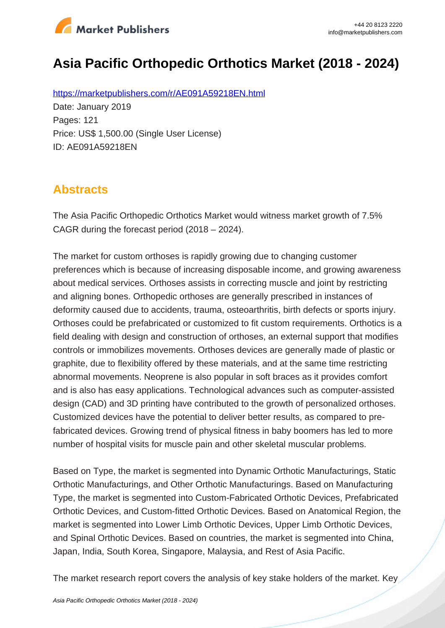

# **Asia Pacific Orthopedic Orthotics Market (2018 - 2024)**

https://marketpublishers.com/r/AE091A59218EN.html Date: January 2019 Pages: 121 Price: US\$ 1,500.00 (Single User License) ID: AE091A59218EN

## **Abstracts**

The Asia Pacific Orthopedic Orthotics Market would witness market growth of 7.5% CAGR during the forecast period (2018 – 2024).

The market for custom orthoses is rapidly growing due to changing customer preferences which is because of increasing disposable income, and growing awareness about medical services. Orthoses assists in correcting muscle and joint by restricting and aligning bones. Orthopedic orthoses are generally prescribed in instances of deformity caused due to accidents, trauma, osteoarthritis, birth defects or sports injury. Orthoses could be prefabricated or customized to fit custom requirements. Orthotics is a field dealing with design and construction of orthoses, an external support that modifies controls or immobilizes movements. Orthoses devices are generally made of plastic or graphite, due to flexibility offered by these materials, and at the same time restricting abnormal movements. Neoprene is also popular in soft braces as it provides comfort and is also has easy applications. Technological advances such as computer-assisted design (CAD) and 3D printing have contributed to the growth of personalized orthoses. Customized devices have the potential to deliver better results, as compared to prefabricated devices. Growing trend of physical fitness in baby boomers has led to more number of hospital visits for muscle pain and other skeletal muscular problems.

Based on Type, the market is segmented into Dynamic Orthotic Manufacturings, Static Orthotic Manufacturings, and Other Orthotic Manufacturings. Based on Manufacturing Type, the market is segmented into Custom-Fabricated Orthotic Devices, Prefabricated Orthotic Devices, and Custom-fitted Orthotic Devices. Based on Anatomical Region, the market is segmented into Lower Limb Orthotic Devices, Upper Limb Orthotic Devices, and Spinal Orthotic Devices. Based on countries, the market is segmented into China, Japan, India, South Korea, Singapore, Malaysia, and Rest of Asia Pacific.

The market research report covers the analysis of key stake holders of the market. Key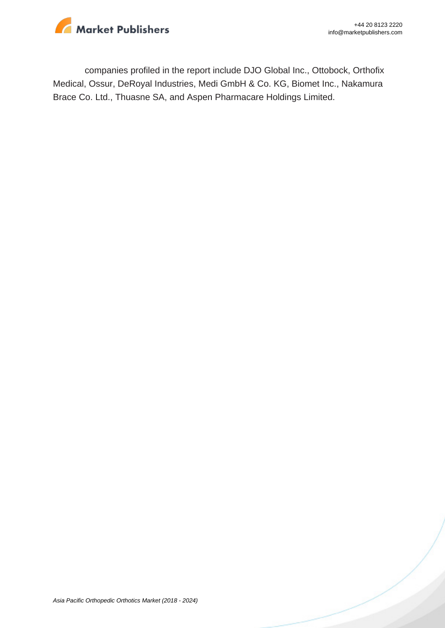

companies profiled in the report include DJO Global Inc., Ottobock, Orthofix Medical, Ossur, DeRoyal Industries, Medi GmbH & Co. KG, Biomet Inc., Nakamura Brace Co. Ltd., Thuasne SA, and Aspen Pharmacare Holdings Limited.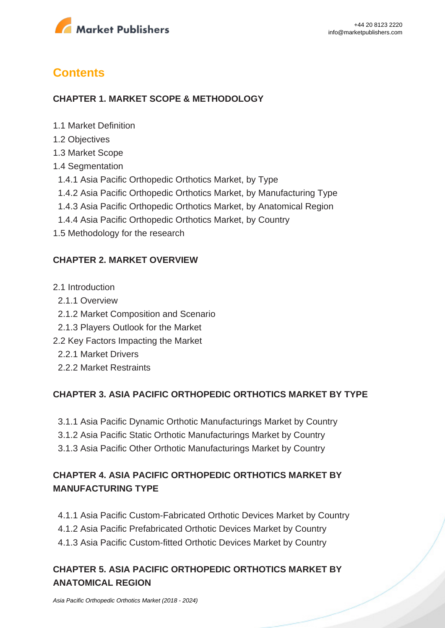

## **Contents**

#### **CHAPTER 1. MARKET SCOPE & METHODOLOGY**

- 1.1 Market Definition
- 1.2 Objectives
- 1.3 Market Scope
- 1.4 Segmentation
- 1.4.1 Asia Pacific Orthopedic Orthotics Market, by Type
- 1.4.2 Asia Pacific Orthopedic Orthotics Market, by Manufacturing Type
- 1.4.3 Asia Pacific Orthopedic Orthotics Market, by Anatomical Region
- 1.4.4 Asia Pacific Orthopedic Orthotics Market, by Country
- 1.5 Methodology for the research

#### **CHAPTER 2. MARKET OVERVIEW**

- 2.1 Introduction
	- 2.1.1 Overview
	- 2.1.2 Market Composition and Scenario
	- 2.1.3 Players Outlook for the Market
- 2.2 Key Factors Impacting the Market
	- 2.2.1 Market Drivers
	- 2.2.2 Market Restraints

#### **CHAPTER 3. ASIA PACIFIC ORTHOPEDIC ORTHOTICS MARKET BY TYPE**

- 3.1.1 Asia Pacific Dynamic Orthotic Manufacturings Market by Country
- 3.1.2 Asia Pacific Static Orthotic Manufacturings Market by Country
- 3.1.3 Asia Pacific Other Orthotic Manufacturings Market by Country

### **CHAPTER 4. ASIA PACIFIC ORTHOPEDIC ORTHOTICS MARKET BY MANUFACTURING TYPE**

- 4.1.1 Asia Pacific Custom-Fabricated Orthotic Devices Market by Country
- 4.1.2 Asia Pacific Prefabricated Orthotic Devices Market by Country
- 4.1.3 Asia Pacific Custom-fitted Orthotic Devices Market by Country

### **CHAPTER 5. ASIA PACIFIC ORTHOPEDIC ORTHOTICS MARKET BY ANATOMICAL REGION**

[Asia Pacific Orthopedic Orthotics Market \(2018 - 2024\)](https://marketpublishers.com/report/medical_devices/orthopedic/asia-pacific-orthopedic-orthotics-market-analysis-2017-2023.html)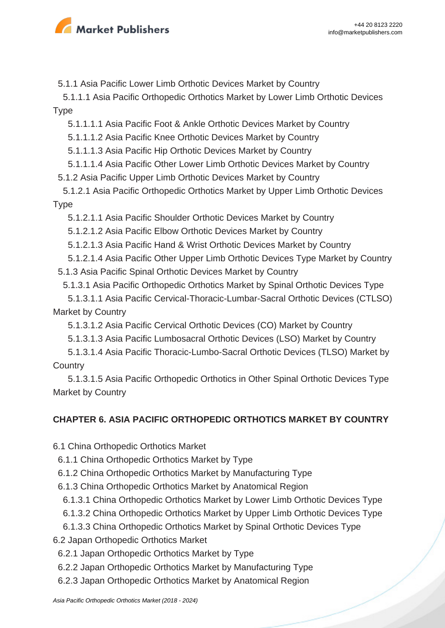

5.1.1 Asia Pacific Lower Limb Orthotic Devices Market by Country

 5.1.1.1 Asia Pacific Orthopedic Orthotics Market by Lower Limb Orthotic Devices Type

5.1.1.1.1 Asia Pacific Foot & Ankle Orthotic Devices Market by Country

5.1.1.1.2 Asia Pacific Knee Orthotic Devices Market by Country

5.1.1.1.3 Asia Pacific Hip Orthotic Devices Market by Country

5.1.1.1.4 Asia Pacific Other Lower Limb Orthotic Devices Market by Country

5.1.2 Asia Pacific Upper Limb Orthotic Devices Market by Country

 5.1.2.1 Asia Pacific Orthopedic Orthotics Market by Upper Limb Orthotic Devices Type

5.1.2.1.1 Asia Pacific Shoulder Orthotic Devices Market by Country

5.1.2.1.2 Asia Pacific Elbow Orthotic Devices Market by Country

5.1.2.1.3 Asia Pacific Hand & Wrist Orthotic Devices Market by Country

 5.1.2.1.4 Asia Pacific Other Upper Limb Orthotic Devices Type Market by Country 5.1.3 Asia Pacific Spinal Orthotic Devices Market by Country

5.1.3.1 Asia Pacific Orthopedic Orthotics Market by Spinal Orthotic Devices Type

 5.1.3.1.1 Asia Pacific Cervical-Thoracic-Lumbar-Sacral Orthotic Devices (CTLSO) Market by Country

5.1.3.1.2 Asia Pacific Cervical Orthotic Devices (CO) Market by Country

5.1.3.1.3 Asia Pacific Lumbosacral Orthotic Devices (LSO) Market by Country

 5.1.3.1.4 Asia Pacific Thoracic-Lumbo-Sacral Orthotic Devices (TLSO) Market by **Country** 

 5.1.3.1.5 Asia Pacific Orthopedic Orthotics in Other Spinal Orthotic Devices Type Market by Country

#### **CHAPTER 6. ASIA PACIFIC ORTHOPEDIC ORTHOTICS MARKET BY COUNTRY**

6.1 China Orthopedic Orthotics Market

6.1.1 China Orthopedic Orthotics Market by Type

6.1.2 China Orthopedic Orthotics Market by Manufacturing Type

6.1.3 China Orthopedic Orthotics Market by Anatomical Region

- 6.1.3.1 China Orthopedic Orthotics Market by Lower Limb Orthotic Devices Type
- 6.1.3.2 China Orthopedic Orthotics Market by Upper Limb Orthotic Devices Type
- 6.1.3.3 China Orthopedic Orthotics Market by Spinal Orthotic Devices Type

6.2 Japan Orthopedic Orthotics Market

- 6.2.1 Japan Orthopedic Orthotics Market by Type
- 6.2.2 Japan Orthopedic Orthotics Market by Manufacturing Type
- 6.2.3 Japan Orthopedic Orthotics Market by Anatomical Region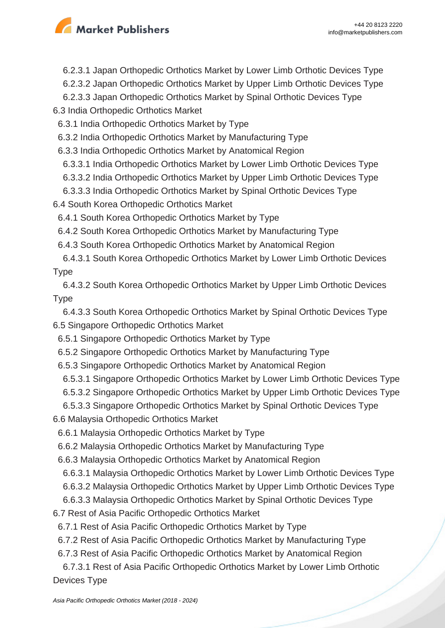

6.2.3.1 Japan Orthopedic Orthotics Market by Lower Limb Orthotic Devices Type

6.2.3.2 Japan Orthopedic Orthotics Market by Upper Limb Orthotic Devices Type

6.2.3.3 Japan Orthopedic Orthotics Market by Spinal Orthotic Devices Type

6.3 India Orthopedic Orthotics Market

6.3.1 India Orthopedic Orthotics Market by Type

6.3.2 India Orthopedic Orthotics Market by Manufacturing Type

6.3.3 India Orthopedic Orthotics Market by Anatomical Region

6.3.3.1 India Orthopedic Orthotics Market by Lower Limb Orthotic Devices Type

6.3.3.2 India Orthopedic Orthotics Market by Upper Limb Orthotic Devices Type

6.3.3.3 India Orthopedic Orthotics Market by Spinal Orthotic Devices Type

6.4 South Korea Orthopedic Orthotics Market

6.4.1 South Korea Orthopedic Orthotics Market by Type

6.4.2 South Korea Orthopedic Orthotics Market by Manufacturing Type

6.4.3 South Korea Orthopedic Orthotics Market by Anatomical Region

 6.4.3.1 South Korea Orthopedic Orthotics Market by Lower Limb Orthotic Devices Type

 6.4.3.2 South Korea Orthopedic Orthotics Market by Upper Limb Orthotic Devices **Type** 

 6.4.3.3 South Korea Orthopedic Orthotics Market by Spinal Orthotic Devices Type 6.5 Singapore Orthopedic Orthotics Market

6.5.1 Singapore Orthopedic Orthotics Market by Type

6.5.2 Singapore Orthopedic Orthotics Market by Manufacturing Type

6.5.3 Singapore Orthopedic Orthotics Market by Anatomical Region

6.5.3.1 Singapore Orthopedic Orthotics Market by Lower Limb Orthotic Devices Type

6.5.3.2 Singapore Orthopedic Orthotics Market by Upper Limb Orthotic Devices Type

 6.5.3.3 Singapore Orthopedic Orthotics Market by Spinal Orthotic Devices Type 6.6 Malaysia Orthopedic Orthotics Market

6.6.1 Malaysia Orthopedic Orthotics Market by Type

6.6.2 Malaysia Orthopedic Orthotics Market by Manufacturing Type

6.6.3 Malaysia Orthopedic Orthotics Market by Anatomical Region

6.6.3.1 Malaysia Orthopedic Orthotics Market by Lower Limb Orthotic Devices Type

6.6.3.2 Malaysia Orthopedic Orthotics Market by Upper Limb Orthotic Devices Type

6.6.3.3 Malaysia Orthopedic Orthotics Market by Spinal Orthotic Devices Type

6.7 Rest of Asia Pacific Orthopedic Orthotics Market

6.7.1 Rest of Asia Pacific Orthopedic Orthotics Market by Type

6.7.2 Rest of Asia Pacific Orthopedic Orthotics Market by Manufacturing Type

6.7.3 Rest of Asia Pacific Orthopedic Orthotics Market by Anatomical Region

 6.7.3.1 Rest of Asia Pacific Orthopedic Orthotics Market by Lower Limb Orthotic Devices Type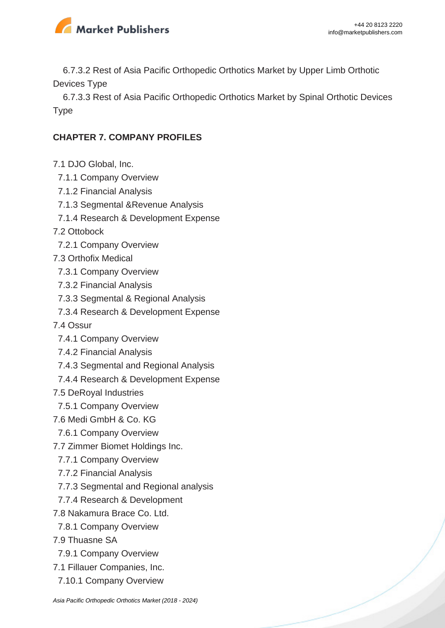

 6.7.3.2 Rest of Asia Pacific Orthopedic Orthotics Market by Upper Limb Orthotic Devices Type

 6.7.3.3 Rest of Asia Pacific Orthopedic Orthotics Market by Spinal Orthotic Devices Type

#### **CHAPTER 7. COMPANY PROFILES**

- 7.1 DJO Global, Inc.
	- 7.1.1 Company Overview
	- 7.1.2 Financial Analysis
	- 7.1.3 Segmental &Revenue Analysis
	- 7.1.4 Research & Development Expense
- 7.2 Ottobock
	- 7.2.1 Company Overview
- 7.3 Orthofix Medical
	- 7.3.1 Company Overview
	- 7.3.2 Financial Analysis
	- 7.3.3 Segmental & Regional Analysis
	- 7.3.4 Research & Development Expense
- 7.4 Ossur
	- 7.4.1 Company Overview
	- 7.4.2 Financial Analysis
	- 7.4.3 Segmental and Regional Analysis
- 7.4.4 Research & Development Expense
- 7.5 DeRoyal Industries
- 7.5.1 Company Overview
- 7.6 Medi GmbH & Co. KG
- 7.6.1 Company Overview
- 7.7 Zimmer Biomet Holdings Inc.
	- 7.7.1 Company Overview
	- 7.7.2 Financial Analysis
	- 7.7.3 Segmental and Regional analysis
	- 7.7.4 Research & Development
- 7.8 Nakamura Brace Co. Ltd.
- 7.8.1 Company Overview
- 7.9 Thuasne SA
- 7.9.1 Company Overview
- 7.1 Fillauer Companies, Inc.
	- 7.10.1 Company Overview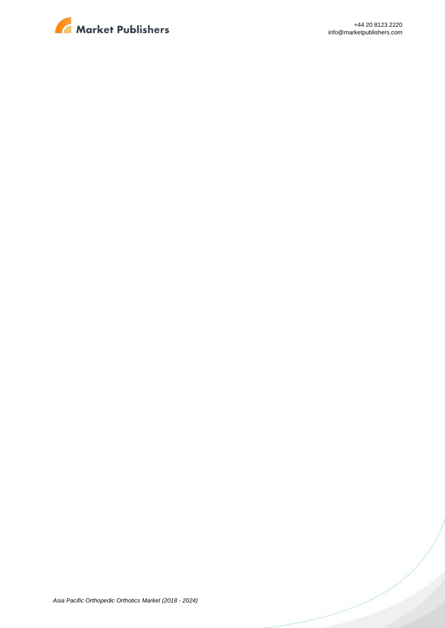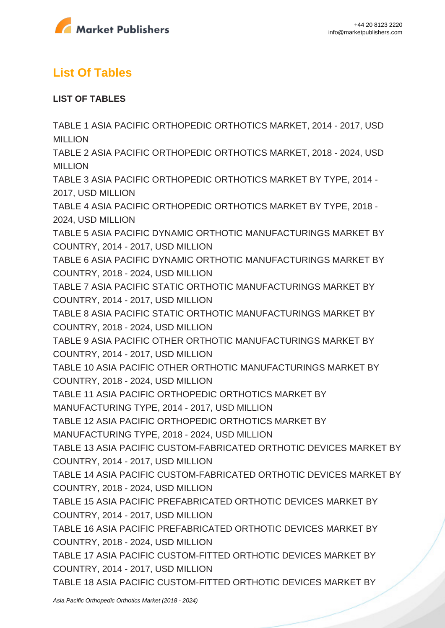

## **List Of Tables**

#### **LIST OF TABLES**

TABLE 1 ASIA PACIFIC ORTHOPEDIC ORTHOTICS MARKET, 2014 - 2017, USD **MILLION** TABLE 2 ASIA PACIFIC ORTHOPEDIC ORTHOTICS MARKET, 2018 - 2024, USD MILLION TABLE 3 ASIA PACIFIC ORTHOPEDIC ORTHOTICS MARKET BY TYPE, 2014 - 2017, USD MILLION TABLE 4 ASIA PACIFIC ORTHOPEDIC ORTHOTICS MARKET BY TYPE, 2018 - 2024, USD MILLION TABLE 5 ASIA PACIFIC DYNAMIC ORTHOTIC MANUFACTURINGS MARKET BY COUNTRY, 2014 - 2017, USD MILLION TABLE 6 ASIA PACIFIC DYNAMIC ORTHOTIC MANUFACTURINGS MARKET BY COUNTRY, 2018 - 2024, USD MILLION TABLE 7 ASIA PACIFIC STATIC ORTHOTIC MANUFACTURINGS MARKET BY COUNTRY, 2014 - 2017, USD MILLION TABLE 8 ASIA PACIFIC STATIC ORTHOTIC MANUFACTURINGS MARKET BY COUNTRY, 2018 - 2024, USD MILLION TABLE 9 ASIA PACIFIC OTHER ORTHOTIC MANUFACTURINGS MARKET BY COUNTRY, 2014 - 2017, USD MILLION TABLE 10 ASIA PACIFIC OTHER ORTHOTIC MANUFACTURINGS MARKET BY COUNTRY, 2018 - 2024, USD MILLION TABLE 11 ASIA PACIFIC ORTHOPEDIC ORTHOTICS MARKET BY MANUFACTURING TYPE, 2014 - 2017, USD MILLION TABLE 12 ASIA PACIFIC ORTHOPEDIC ORTHOTICS MARKET BY MANUFACTURING TYPE, 2018 - 2024, USD MILLION TABLE 13 ASIA PACIFIC CUSTOM-FABRICATED ORTHOTIC DEVICES MARKET BY COUNTRY, 2014 - 2017, USD MILLION TABLE 14 ASIA PACIFIC CUSTOM-FABRICATED ORTHOTIC DEVICES MARKET BY COUNTRY, 2018 - 2024, USD MILLION TABLE 15 ASIA PACIFIC PREFABRICATED ORTHOTIC DEVICES MARKET BY COUNTRY, 2014 - 2017, USD MILLION TABLE 16 ASIA PACIFIC PREFABRICATED ORTHOTIC DEVICES MARKET BY COUNTRY, 2018 - 2024, USD MILLION TABLE 17 ASIA PACIFIC CUSTOM-FITTED ORTHOTIC DEVICES MARKET BY COUNTRY, 2014 - 2017, USD MILLION TABLE 18 ASIA PACIFIC CUSTOM-FITTED ORTHOTIC DEVICES MARKET BY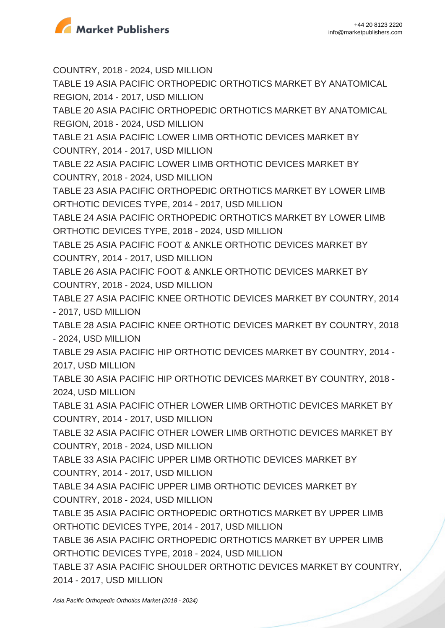

COUNTRY, 2018 - 2024, USD MILLION TABLE 19 ASIA PACIFIC ORTHOPEDIC ORTHOTICS MARKET BY ANATOMICAL REGION, 2014 - 2017, USD MILLION TABLE 20 ASIA PACIFIC ORTHOPEDIC ORTHOTICS MARKET BY ANATOMICAL REGION, 2018 - 2024, USD MILLION TABLE 21 ASIA PACIFIC LOWER LIMB ORTHOTIC DEVICES MARKET BY COUNTRY, 2014 - 2017, USD MILLION TABLE 22 ASIA PACIFIC LOWER LIMB ORTHOTIC DEVICES MARKET BY COUNTRY, 2018 - 2024, USD MILLION TABLE 23 ASIA PACIFIC ORTHOPEDIC ORTHOTICS MARKET BY LOWER LIMB ORTHOTIC DEVICES TYPE, 2014 - 2017, USD MILLION TABLE 24 ASIA PACIFIC ORTHOPEDIC ORTHOTICS MARKET BY LOWER LIMB ORTHOTIC DEVICES TYPE, 2018 - 2024, USD MILLION TABLE 25 ASIA PACIFIC FOOT & ANKLE ORTHOTIC DEVICES MARKET BY COUNTRY, 2014 - 2017, USD MILLION TABLE 26 ASIA PACIFIC FOOT & ANKLE ORTHOTIC DEVICES MARKET BY COUNTRY, 2018 - 2024, USD MILLION TABLE 27 ASIA PACIFIC KNEE ORTHOTIC DEVICES MARKET BY COUNTRY, 2014 - 2017, USD MILLION TABLE 28 ASIA PACIFIC KNEE ORTHOTIC DEVICES MARKET BY COUNTRY, 2018 - 2024, USD MILLION TABLE 29 ASIA PACIFIC HIP ORTHOTIC DEVICES MARKET BY COUNTRY, 2014 - 2017, USD MILLION TABLE 30 ASIA PACIFIC HIP ORTHOTIC DEVICES MARKET BY COUNTRY, 2018 - 2024, USD MILLION TABLE 31 ASIA PACIFIC OTHER LOWER LIMB ORTHOTIC DEVICES MARKET BY COUNTRY, 2014 - 2017, USD MILLION TABLE 32 ASIA PACIFIC OTHER LOWER LIMB ORTHOTIC DEVICES MARKET BY COUNTRY, 2018 - 2024, USD MILLION TABLE 33 ASIA PACIFIC UPPER LIMB ORTHOTIC DEVICES MARKET BY COUNTRY, 2014 - 2017, USD MILLION TABLE 34 ASIA PACIFIC UPPER LIMB ORTHOTIC DEVICES MARKET BY COUNTRY, 2018 - 2024, USD MILLION TABLE 35 ASIA PACIFIC ORTHOPEDIC ORTHOTICS MARKET BY UPPER LIMB ORTHOTIC DEVICES TYPE, 2014 - 2017, USD MILLION TABLE 36 ASIA PACIFIC ORTHOPEDIC ORTHOTICS MARKET BY UPPER LIMB ORTHOTIC DEVICES TYPE, 2018 - 2024, USD MILLION TABLE 37 ASIA PACIFIC SHOULDER ORTHOTIC DEVICES MARKET BY COUNTRY, 2014 - 2017, USD MILLION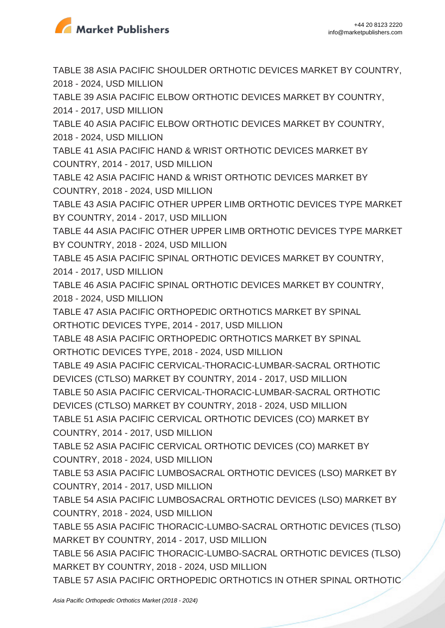

TABLE 38 ASIA PACIFIC SHOULDER ORTHOTIC DEVICES MARKET BY COUNTRY, 2018 - 2024, USD MILLION TABLE 39 ASIA PACIFIC ELBOW ORTHOTIC DEVICES MARKET BY COUNTRY, 2014 - 2017, USD MILLION TABLE 40 ASIA PACIFIC ELBOW ORTHOTIC DEVICES MARKET BY COUNTRY, 2018 - 2024, USD MILLION TABLE 41 ASIA PACIFIC HAND & WRIST ORTHOTIC DEVICES MARKET BY COUNTRY, 2014 - 2017, USD MILLION TABLE 42 ASIA PACIFIC HAND & WRIST ORTHOTIC DEVICES MARKET BY COUNTRY, 2018 - 2024, USD MILLION TABLE 43 ASIA PACIFIC OTHER UPPER LIMB ORTHOTIC DEVICES TYPE MARKET BY COUNTRY, 2014 - 2017, USD MILLION TABLE 44 ASIA PACIFIC OTHER UPPER LIMB ORTHOTIC DEVICES TYPE MARKET BY COUNTRY, 2018 - 2024, USD MILLION TABLE 45 ASIA PACIFIC SPINAL ORTHOTIC DEVICES MARKET BY COUNTRY, 2014 - 2017, USD MILLION TABLE 46 ASIA PACIFIC SPINAL ORTHOTIC DEVICES MARKET BY COUNTRY, 2018 - 2024, USD MILLION TABLE 47 ASIA PACIFIC ORTHOPEDIC ORTHOTICS MARKET BY SPINAL ORTHOTIC DEVICES TYPE, 2014 - 2017, USD MILLION TABLE 48 ASIA PACIFIC ORTHOPEDIC ORTHOTICS MARKET BY SPINAL ORTHOTIC DEVICES TYPE, 2018 - 2024, USD MILLION TABLE 49 ASIA PACIFIC CERVICAL-THORACIC-LUMBAR-SACRAL ORTHOTIC DEVICES (CTLSO) MARKET BY COUNTRY, 2014 - 2017, USD MILLION TABLE 50 ASIA PACIFIC CERVICAL-THORACIC-LUMBAR-SACRAL ORTHOTIC DEVICES (CTLSO) MARKET BY COUNTRY, 2018 - 2024, USD MILLION TABLE 51 ASIA PACIFIC CERVICAL ORTHOTIC DEVICES (CO) MARKET BY COUNTRY, 2014 - 2017, USD MILLION TABLE 52 ASIA PACIFIC CERVICAL ORTHOTIC DEVICES (CO) MARKET BY COUNTRY, 2018 - 2024, USD MILLION TABLE 53 ASIA PACIFIC LUMBOSACRAL ORTHOTIC DEVICES (LSO) MARKET BY COUNTRY, 2014 - 2017, USD MILLION TABLE 54 ASIA PACIFIC LUMBOSACRAL ORTHOTIC DEVICES (LSO) MARKET BY COUNTRY, 2018 - 2024, USD MILLION TABLE 55 ASIA PACIFIC THORACIC-LUMBO-SACRAL ORTHOTIC DEVICES (TLSO) MARKET BY COUNTRY, 2014 - 2017, USD MILLION TABLE 56 ASIA PACIFIC THORACIC-LUMBO-SACRAL ORTHOTIC DEVICES (TLSO) MARKET BY COUNTRY, 2018 - 2024, USD MILLION TABLE 57 ASIA PACIFIC ORTHOPEDIC ORTHOTICS IN OTHER SPINAL ORTHOTIC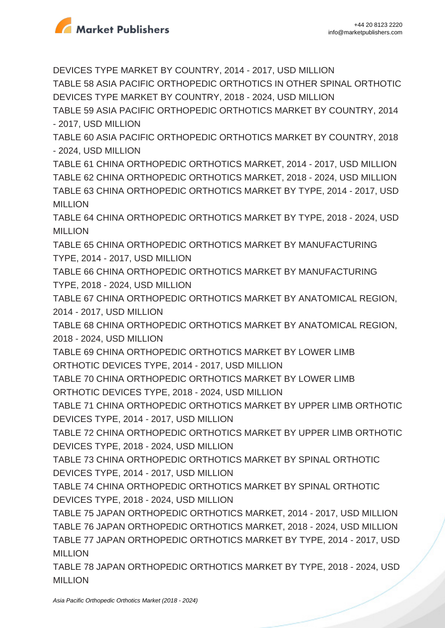

DEVICES TYPE MARKET BY COUNTRY, 2014 - 2017, USD MILLION TABLE 58 ASIA PACIFIC ORTHOPEDIC ORTHOTICS IN OTHER SPINAL ORTHOTIC DEVICES TYPE MARKET BY COUNTRY, 2018 - 2024, USD MILLION

TABLE 59 ASIA PACIFIC ORTHOPEDIC ORTHOTICS MARKET BY COUNTRY, 2014 - 2017, USD MILLION

TABLE 60 ASIA PACIFIC ORTHOPEDIC ORTHOTICS MARKET BY COUNTRY, 2018 - 2024, USD MILLION

TABLE 61 CHINA ORTHOPEDIC ORTHOTICS MARKET, 2014 - 2017, USD MILLION TABLE 62 CHINA ORTHOPEDIC ORTHOTICS MARKET, 2018 - 2024, USD MILLION TABLE 63 CHINA ORTHOPEDIC ORTHOTICS MARKET BY TYPE, 2014 - 2017, USD **MILLION** 

TABLE 64 CHINA ORTHOPEDIC ORTHOTICS MARKET BY TYPE, 2018 - 2024, USD MILLION

TABLE 65 CHINA ORTHOPEDIC ORTHOTICS MARKET BY MANUFACTURING TYPE, 2014 - 2017, USD MILLION

TABLE 66 CHINA ORTHOPEDIC ORTHOTICS MARKET BY MANUFACTURING TYPE, 2018 - 2024, USD MILLION

TABLE 67 CHINA ORTHOPEDIC ORTHOTICS MARKET BY ANATOMICAL REGION, 2014 - 2017, USD MILLION

TABLE 68 CHINA ORTHOPEDIC ORTHOTICS MARKET BY ANATOMICAL REGION, 2018 - 2024, USD MILLION

TABLE 69 CHINA ORTHOPEDIC ORTHOTICS MARKET BY LOWER LIMB ORTHOTIC DEVICES TYPE, 2014 - 2017, USD MILLION

TABLE 70 CHINA ORTHOPEDIC ORTHOTICS MARKET BY LOWER LIMB

ORTHOTIC DEVICES TYPE, 2018 - 2024, USD MILLION

TABLE 71 CHINA ORTHOPEDIC ORTHOTICS MARKET BY UPPER LIMB ORTHOTIC DEVICES TYPE, 2014 - 2017, USD MILLION

TABLE 72 CHINA ORTHOPEDIC ORTHOTICS MARKET BY UPPER LIMB ORTHOTIC DEVICES TYPE, 2018 - 2024, USD MILLION

TABLE 73 CHINA ORTHOPEDIC ORTHOTICS MARKET BY SPINAL ORTHOTIC DEVICES TYPE, 2014 - 2017, USD MILLION

TABLE 74 CHINA ORTHOPEDIC ORTHOTICS MARKET BY SPINAL ORTHOTIC DEVICES TYPE, 2018 - 2024, USD MILLION

TABLE 75 JAPAN ORTHOPEDIC ORTHOTICS MARKET, 2014 - 2017, USD MILLION TABLE 76 JAPAN ORTHOPEDIC ORTHOTICS MARKET, 2018 - 2024, USD MILLION TABLE 77 JAPAN ORTHOPEDIC ORTHOTICS MARKET BY TYPE, 2014 - 2017, USD MILLION

TABLE 78 JAPAN ORTHOPEDIC ORTHOTICS MARKET BY TYPE, 2018 - 2024, USD MILLION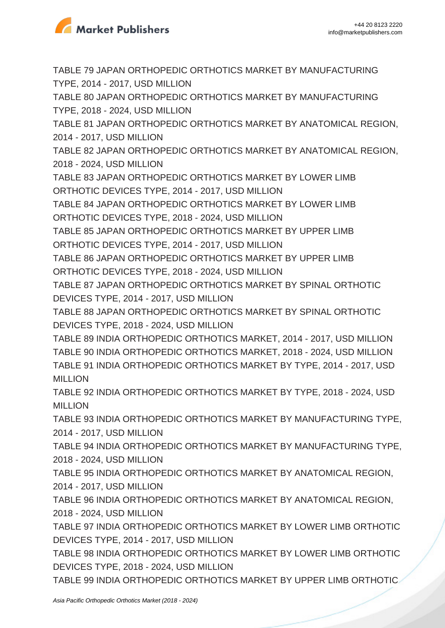

TABLE 79 JAPAN ORTHOPEDIC ORTHOTICS MARKET BY MANUFACTURING TYPE, 2014 - 2017, USD MILLION TABLE 80 JAPAN ORTHOPEDIC ORTHOTICS MARKET BY MANUFACTURING TYPE, 2018 - 2024, USD MILLION TABLE 81 JAPAN ORTHOPEDIC ORTHOTICS MARKET BY ANATOMICAL REGION, 2014 - 2017, USD MILLION TABLE 82 JAPAN ORTHOPEDIC ORTHOTICS MARKET BY ANATOMICAL REGION, 2018 - 2024, USD MILLION TABLE 83 JAPAN ORTHOPEDIC ORTHOTICS MARKET BY LOWER LIMB ORTHOTIC DEVICES TYPE, 2014 - 2017, USD MILLION TABLE 84 JAPAN ORTHOPEDIC ORTHOTICS MARKET BY LOWER LIMB ORTHOTIC DEVICES TYPE, 2018 - 2024, USD MILLION TABLE 85 JAPAN ORTHOPEDIC ORTHOTICS MARKET BY UPPER LIMB ORTHOTIC DEVICES TYPE, 2014 - 2017, USD MILLION TABLE 86 JAPAN ORTHOPEDIC ORTHOTICS MARKET BY UPPER LIMB ORTHOTIC DEVICES TYPE, 2018 - 2024, USD MILLION TABLE 87 JAPAN ORTHOPEDIC ORTHOTICS MARKET BY SPINAL ORTHOTIC DEVICES TYPE, 2014 - 2017, USD MILLION TABLE 88 JAPAN ORTHOPEDIC ORTHOTICS MARKET BY SPINAL ORTHOTIC DEVICES TYPE, 2018 - 2024, USD MILLION TABLE 89 INDIA ORTHOPEDIC ORTHOTICS MARKET, 2014 - 2017, USD MILLION TABLE 90 INDIA ORTHOPEDIC ORTHOTICS MARKET, 2018 - 2024, USD MILLION TABLE 91 INDIA ORTHOPEDIC ORTHOTICS MARKET BY TYPE, 2014 - 2017, USD MILLION TABLE 92 INDIA ORTHOPEDIC ORTHOTICS MARKET BY TYPE, 2018 - 2024, USD MILLION TABLE 93 INDIA ORTHOPEDIC ORTHOTICS MARKET BY MANUFACTURING TYPE, 2014 - 2017, USD MILLION TABLE 94 INDIA ORTHOPEDIC ORTHOTICS MARKET BY MANUFACTURING TYPE, 2018 - 2024, USD MILLION TABLE 95 INDIA ORTHOPEDIC ORTHOTICS MARKET BY ANATOMICAL REGION, 2014 - 2017, USD MILLION TABLE 96 INDIA ORTHOPEDIC ORTHOTICS MARKET BY ANATOMICAL REGION, 2018 - 2024, USD MILLION TABLE 97 INDIA ORTHOPEDIC ORTHOTICS MARKET BY LOWER LIMB ORTHOTIC DEVICES TYPE, 2014 - 2017, USD MILLION TABLE 98 INDIA ORTHOPEDIC ORTHOTICS MARKET BY LOWER LIMB ORTHOTIC DEVICES TYPE, 2018 - 2024, USD MILLION

TABLE 99 INDIA ORTHOPEDIC ORTHOTICS MARKET BY UPPER LIMB ORTHOTIC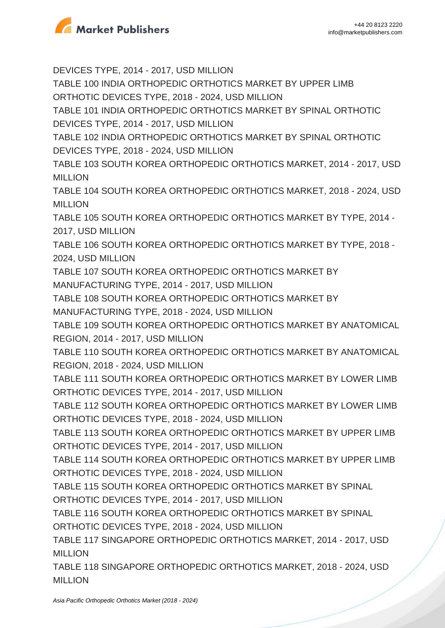

DEVICES TYPE, 2014 - 2017, USD MILLION TABLE 100 INDIA ORTHOPEDIC ORTHOTICS MARKET BY UPPER LIMB ORTHOTIC DEVICES TYPE, 2018 - 2024, USD MILLION TABLE 101 INDIA ORTHOPEDIC ORTHOTICS MARKET BY SPINAL ORTHOTIC DEVICES TYPE, 2014 - 2017, USD MILLION TABLE 102 INDIA ORTHOPEDIC ORTHOTICS MARKET BY SPINAL ORTHOTIC DEVICES TYPE, 2018 - 2024, USD MILLION TABLE 103 SOUTH KOREA ORTHOPEDIC ORTHOTICS MARKET, 2014 - 2017, USD MILLION TABLE 104 SOUTH KOREA ORTHOPEDIC ORTHOTICS MARKET, 2018 - 2024, USD **MILLION** TABLE 105 SOUTH KOREA ORTHOPEDIC ORTHOTICS MARKET BY TYPE, 2014 - 2017, USD MILLION TABLE 106 SOUTH KOREA ORTHOPEDIC ORTHOTICS MARKET BY TYPE, 2018 - 2024, USD MILLION TABLE 107 SOUTH KOREA ORTHOPEDIC ORTHOTICS MARKET BY MANUFACTURING TYPE, 2014 - 2017, USD MILLION TABLE 108 SOUTH KOREA ORTHOPEDIC ORTHOTICS MARKET BY MANUFACTURING TYPE, 2018 - 2024, USD MILLION TABLE 109 SOUTH KOREA ORTHOPEDIC ORTHOTICS MARKET BY ANATOMICAL REGION, 2014 - 2017, USD MILLION TABLE 110 SOUTH KOREA ORTHOPEDIC ORTHOTICS MARKET BY ANATOMICAL REGION, 2018 - 2024, USD MILLION TABLE 111 SOUTH KOREA ORTHOPEDIC ORTHOTICS MARKET BY LOWER LIMB ORTHOTIC DEVICES TYPE, 2014 - 2017, USD MILLION TABLE 112 SOUTH KOREA ORTHOPEDIC ORTHOTICS MARKET BY LOWER LIMB ORTHOTIC DEVICES TYPE, 2018 - 2024, USD MILLION TABLE 113 SOUTH KOREA ORTHOPEDIC ORTHOTICS MARKET BY UPPER LIMB ORTHOTIC DEVICES TYPE, 2014 - 2017, USD MILLION TABLE 114 SOUTH KOREA ORTHOPEDIC ORTHOTICS MARKET BY UPPER LIMB ORTHOTIC DEVICES TYPE, 2018 - 2024, USD MILLION TABLE 115 SOUTH KOREA ORTHOPEDIC ORTHOTICS MARKET BY SPINAL ORTHOTIC DEVICES TYPE, 2014 - 2017, USD MILLION TABLE 116 SOUTH KOREA ORTHOPEDIC ORTHOTICS MARKET BY SPINAL ORTHOTIC DEVICES TYPE, 2018 - 2024, USD MILLION TABLE 117 SINGAPORE ORTHOPEDIC ORTHOTICS MARKET, 2014 - 2017, USD **MILLION** TABLE 118 SINGAPORE ORTHOPEDIC ORTHOTICS MARKET, 2018 - 2024, USD MILLION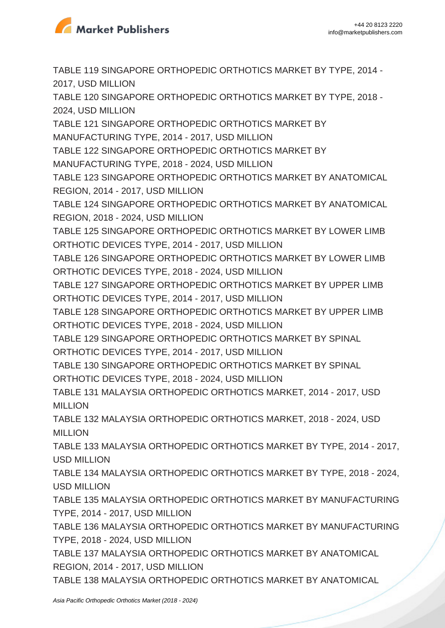

TABLE 119 SINGAPORE ORTHOPEDIC ORTHOTICS MARKET BY TYPE, 2014 - 2017, USD MILLION TABLE 120 SINGAPORE ORTHOPEDIC ORTHOTICS MARKET BY TYPE, 2018 - 2024, USD MILLION TABLE 121 SINGAPORE ORTHOPEDIC ORTHOTICS MARKET BY MANUFACTURING TYPE, 2014 - 2017, USD MILLION TABLE 122 SINGAPORE ORTHOPEDIC ORTHOTICS MARKET BY MANUFACTURING TYPE, 2018 - 2024, USD MILLION TABLE 123 SINGAPORE ORTHOPEDIC ORTHOTICS MARKET BY ANATOMICAL REGION, 2014 - 2017, USD MILLION TABLE 124 SINGAPORE ORTHOPEDIC ORTHOTICS MARKET BY ANATOMICAL REGION, 2018 - 2024, USD MILLION TABLE 125 SINGAPORE ORTHOPEDIC ORTHOTICS MARKET BY LOWER LIMB ORTHOTIC DEVICES TYPE, 2014 - 2017, USD MILLION TABLE 126 SINGAPORE ORTHOPEDIC ORTHOTICS MARKET BY LOWER LIMB ORTHOTIC DEVICES TYPE, 2018 - 2024, USD MILLION TABLE 127 SINGAPORE ORTHOPEDIC ORTHOTICS MARKET BY UPPER LIMB ORTHOTIC DEVICES TYPE, 2014 - 2017, USD MILLION TABLE 128 SINGAPORE ORTHOPEDIC ORTHOTICS MARKET BY UPPER LIMB ORTHOTIC DEVICES TYPE, 2018 - 2024, USD MILLION TABLE 129 SINGAPORE ORTHOPEDIC ORTHOTICS MARKET BY SPINAL ORTHOTIC DEVICES TYPE, 2014 - 2017, USD MILLION TABLE 130 SINGAPORE ORTHOPEDIC ORTHOTICS MARKET BY SPINAL ORTHOTIC DEVICES TYPE, 2018 - 2024, USD MILLION TABLE 131 MALAYSIA ORTHOPEDIC ORTHOTICS MARKET, 2014 - 2017, USD MILLION TABLE 132 MALAYSIA ORTHOPEDIC ORTHOTICS MARKET, 2018 - 2024, USD MILLION TABLE 133 MALAYSIA ORTHOPEDIC ORTHOTICS MARKET BY TYPE, 2014 - 2017, USD MILLION TABLE 134 MALAYSIA ORTHOPEDIC ORTHOTICS MARKET BY TYPE, 2018 - 2024, USD MILLION TABLE 135 MALAYSIA ORTHOPEDIC ORTHOTICS MARKET BY MANUFACTURING TYPE, 2014 - 2017, USD MILLION TABLE 136 MALAYSIA ORTHOPEDIC ORTHOTICS MARKET BY MANUFACTURING TYPE, 2018 - 2024, USD MILLION TABLE 137 MALAYSIA ORTHOPEDIC ORTHOTICS MARKET BY ANATOMICAL REGION, 2014 - 2017, USD MILLION TABLE 138 MALAYSIA ORTHOPEDIC ORTHOTICS MARKET BY ANATOMICAL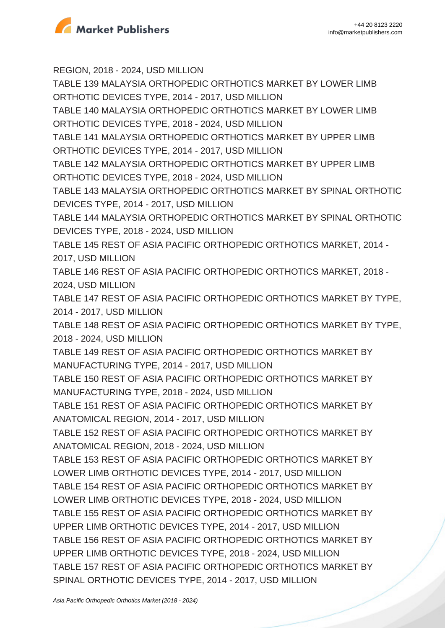

REGION, 2018 - 2024, USD MILLION TABLE 139 MALAYSIA ORTHOPEDIC ORTHOTICS MARKET BY LOWER LIMB ORTHOTIC DEVICES TYPE, 2014 - 2017, USD MILLION TABLE 140 MALAYSIA ORTHOPEDIC ORTHOTICS MARKET BY LOWER LIMB ORTHOTIC DEVICES TYPE, 2018 - 2024, USD MILLION TABLE 141 MALAYSIA ORTHOPEDIC ORTHOTICS MARKET BY UPPER LIMB ORTHOTIC DEVICES TYPE, 2014 - 2017, USD MILLION TABLE 142 MALAYSIA ORTHOPEDIC ORTHOTICS MARKET BY UPPER LIMB ORTHOTIC DEVICES TYPE, 2018 - 2024, USD MILLION TABLE 143 MALAYSIA ORTHOPEDIC ORTHOTICS MARKET BY SPINAL ORTHOTIC DEVICES TYPE, 2014 - 2017, USD MILLION TABLE 144 MALAYSIA ORTHOPEDIC ORTHOTICS MARKET BY SPINAL ORTHOTIC DEVICES TYPE, 2018 - 2024, USD MILLION TABLE 145 REST OF ASIA PACIFIC ORTHOPEDIC ORTHOTICS MARKET, 2014 - 2017, USD MILLION TABLE 146 REST OF ASIA PACIFIC ORTHOPEDIC ORTHOTICS MARKET, 2018 - 2024, USD MILLION TABLE 147 REST OF ASIA PACIFIC ORTHOPEDIC ORTHOTICS MARKET BY TYPE, 2014 - 2017, USD MILLION TABLE 148 REST OF ASIA PACIFIC ORTHOPEDIC ORTHOTICS MARKET BY TYPE, 2018 - 2024, USD MILLION TABLE 149 REST OF ASIA PACIFIC ORTHOPEDIC ORTHOTICS MARKET BY MANUFACTURING TYPE, 2014 - 2017, USD MILLION TABLE 150 REST OF ASIA PACIFIC ORTHOPEDIC ORTHOTICS MARKET BY MANUFACTURING TYPE, 2018 - 2024, USD MILLION TABLE 151 REST OF ASIA PACIFIC ORTHOPEDIC ORTHOTICS MARKET BY ANATOMICAL REGION, 2014 - 2017, USD MILLION TABLE 152 REST OF ASIA PACIFIC ORTHOPEDIC ORTHOTICS MARKET BY ANATOMICAL REGION, 2018 - 2024, USD MILLION TABLE 153 REST OF ASIA PACIFIC ORTHOPEDIC ORTHOTICS MARKET BY LOWER LIMB ORTHOTIC DEVICES TYPE, 2014 - 2017, USD MILLION TABLE 154 REST OF ASIA PACIFIC ORTHOPEDIC ORTHOTICS MARKET BY LOWER LIMB ORTHOTIC DEVICES TYPE, 2018 - 2024, USD MILLION TABLE 155 REST OF ASIA PACIFIC ORTHOPEDIC ORTHOTICS MARKET BY UPPER LIMB ORTHOTIC DEVICES TYPE, 2014 - 2017, USD MILLION TABLE 156 REST OF ASIA PACIFIC ORTHOPEDIC ORTHOTICS MARKET BY UPPER LIMB ORTHOTIC DEVICES TYPE, 2018 - 2024, USD MILLION TABLE 157 REST OF ASIA PACIFIC ORTHOPEDIC ORTHOTICS MARKET BY SPINAL ORTHOTIC DEVICES TYPE, 2014 - 2017, USD MILLION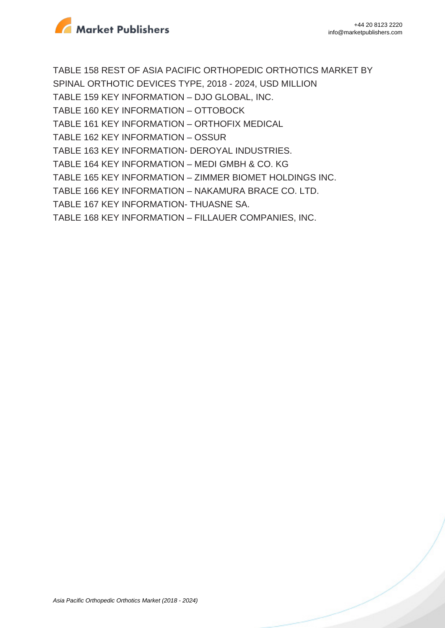

TABLE 158 REST OF ASIA PACIFIC ORTHOPEDIC ORTHOTICS MARKET BY SPINAL ORTHOTIC DEVICES TYPE, 2018 - 2024, USD MILLION TABLE 159 KEY INFORMATION – DJO GLOBAL, INC. TABLE 160 KEY INFORMATION – OTTOBOCK TABLE 161 KEY INFORMATION – ORTHOFIX MEDICAL TABLE 162 KEY INFORMATION – OSSUR TABLE 163 KEY INFORMATION- DEROYAL INDUSTRIES. TABLE 164 KEY INFORMATION – MEDI GMBH & CO. KG TABLE 165 KEY INFORMATION – ZIMMER BIOMET HOLDINGS INC. TABLE 166 KEY INFORMATION – NAKAMURA BRACE CO. LTD. TABLE 167 KEY INFORMATION- THUASNE SA. TABLE 168 KEY INFORMATION – FILLAUER COMPANIES, INC.